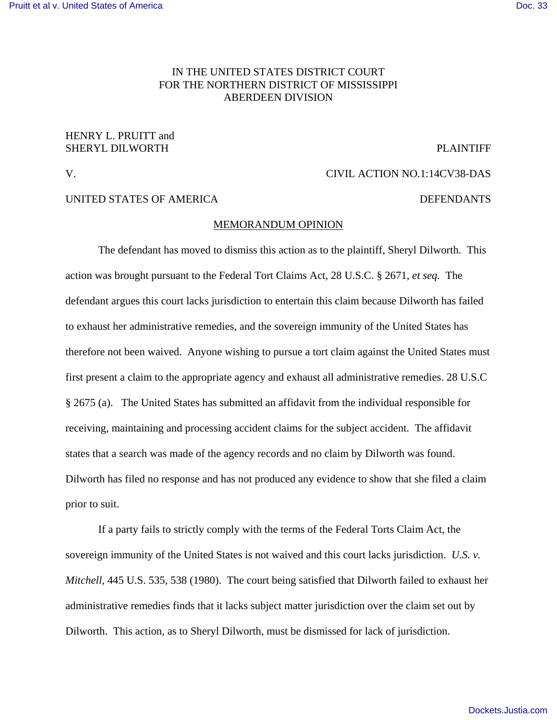# IN THE UNITED STATES DISTRICT COURT FOR THE NORTHERN DISTRICT OF MISSISSIPPI ABERDEEN DIVISION

## HENRY L. PRUITT and SHERYL DILWORTH SHERYL BUSINESS AND THE PLAINTIFF

V. CIVIL ACTION NO.1:14CV38-DAS

### UNITED STATES OF AMERICA DEFENDANTS

# MEMORANDUM OPINION

The defendant has moved to dismiss this action as to the plaintiff, Sheryl Dilworth. This action was brought pursuant to the Federal Tort Claims Act, 28 U.S.C. § 2671, *et seq.* The defendant argues this court lacks jurisdiction to entertain this claim because Dilworth has failed to exhaust her administrative remedies, and the sovereign immunity of the United States has therefore not been waived. Anyone wishing to pursue a tort claim against the United States must first present a claim to the appropriate agency and exhaust all administrative remedies. 28 U.S.C § 2675 (a). The United States has submitted an affidavit from the individual responsible for receiving, maintaining and processing accident claims for the subject accident. The affidavit states that a search was made of the agency records and no claim by Dilworth was found. Dilworth has filed no response and has not produced any evidence to show that she filed a claim prior to suit.

If a party fails to strictly comply with the terms of the Federal Torts Claim Act, the sovereign immunity of the United States is not waived and this court lacks jurisdiction. *U.S. v. Mitchell*, 445 U.S. 535, 538 (1980). The court being satisfied that Dilworth failed to exhaust her administrative remedies finds that it lacks subject matter jurisdiction over the claim set out by Dilworth. This action, as to Sheryl Dilworth, must be dismissed for lack of jurisdiction.